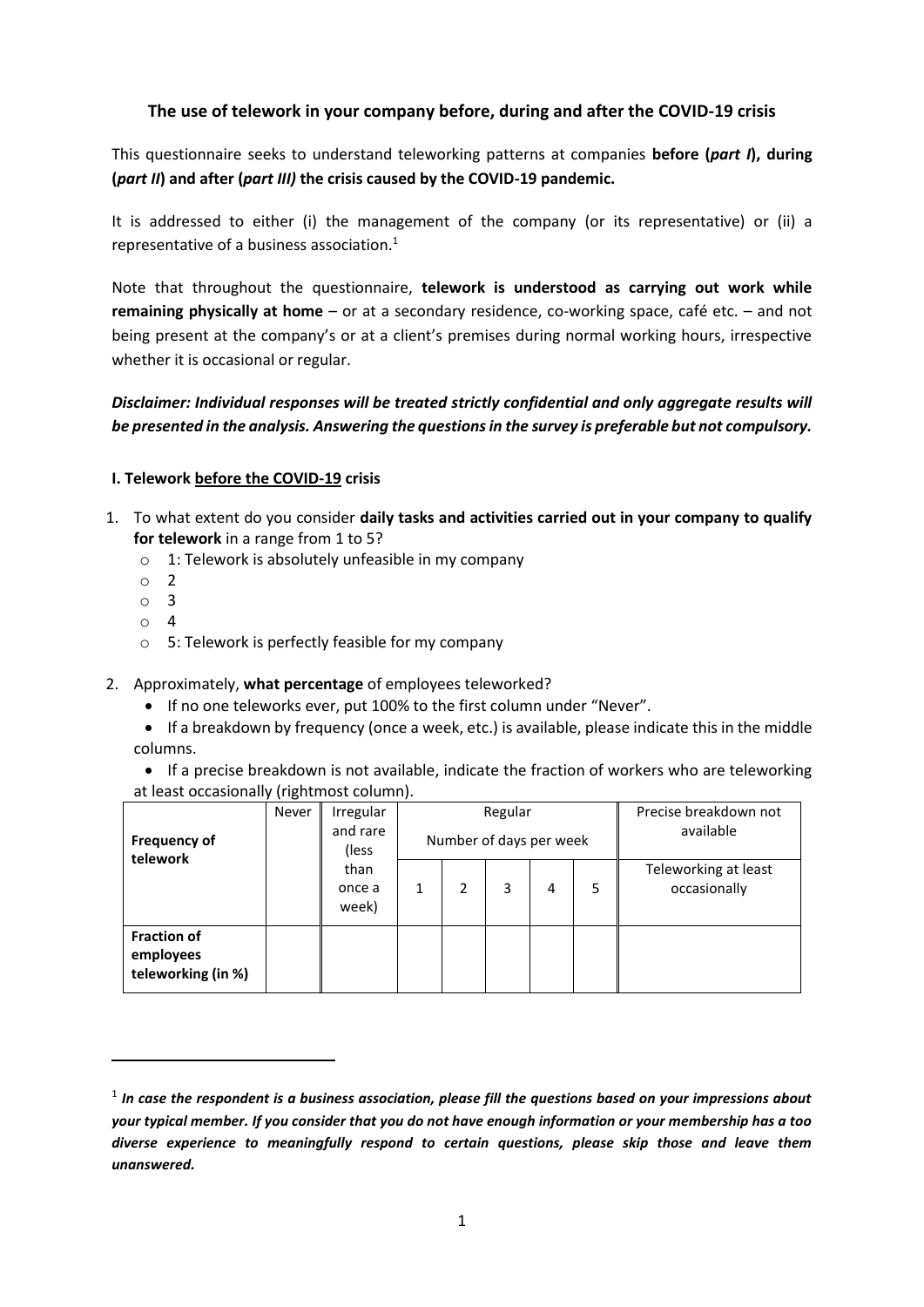# **The use of telework in your company before, during and after the COVID-19 crisis**

This questionnaire seeks to understand teleworking patterns at companies **before (***part I***), during (***part II***) and after (***part III)* **the crisis caused by the COVID-19 pandemic.** 

It is addressed to either (i) the management of the company (or its representative) or (ii) a representative of a business association. 1

Note that throughout the questionnaire, **telework is understood as carrying out work while remaining physically at home** – or at a secondary residence, co-working space, café etc. – and not being present at the company's or at a client's premises during normal working hours, irrespective whether it is occasional or regular.

*Disclaimer: Individual responses will be treated strictly confidential and only aggregate results will be presented in the analysis. Answering the questions in the survey is preferable but not compulsory.*

#### **I. Telework before the COVID-19 crisis**

- 1. To what extent do you consider **daily tasks and activities carried out in your company to qualify for telework** in a range from 1 to 5?
	- o 1: Telework is absolutely unfeasible in my company
	- o 2
	- o 3
	- o 4

**.** 

- o 5: Telework is perfectly feasible for my company
- 2. Approximately, **what percentage** of employees teleworked?
	- If no one teleworks ever, put 100% to the first column under "Never".
	- If a breakdown by frequency (once a week, etc.) is available, please indicate this in the middle columns.

• If a precise breakdown is not available, indicate the fraction of workers who are teleworking at least occasionally (rightmost column).

| <b>Frequency of</b><br>telework                       | Never | Irregular<br>and rare<br>(less) |   | Number of days per week | Regular |   | Precise breakdown not<br>available |                                      |
|-------------------------------------------------------|-------|---------------------------------|---|-------------------------|---------|---|------------------------------------|--------------------------------------|
|                                                       |       | than<br>once a<br>week)         | 1 | 2                       | 3       | 4 | 5                                  | Teleworking at least<br>occasionally |
| <b>Fraction of</b><br>employees<br>teleworking (in %) |       |                                 |   |                         |         |   |                                    |                                      |

 $^{\rm 1}$  In case the respondent is a business association, please fill the questions based on your impressions about *your typical member. If you consider that you do not have enough information or your membership has a too diverse experience to meaningfully respond to certain questions, please skip those and leave them unanswered.*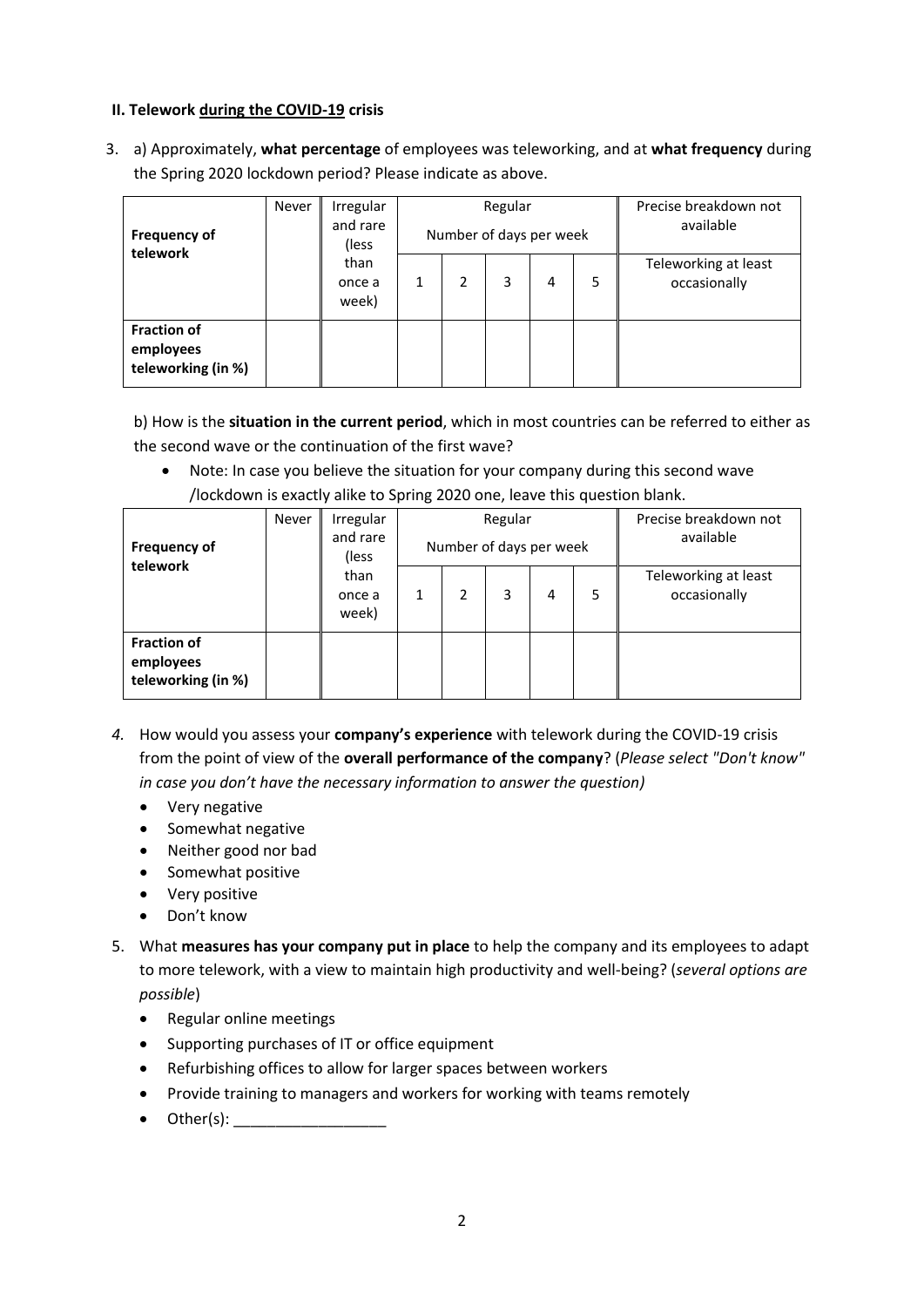## **II. Telework during the COVID-19 crisis**

3. a) Approximately, **what percentage** of employees was teleworking, and at **what frequency** during the Spring 2020 lockdown period? Please indicate as above.

| <b>Frequency of</b><br>telework                       | <b>Never</b> | Irregular<br>and rare<br>(less) | Regular<br>Number of days per week |   |   |   |   | Precise breakdown not<br>available   |  |
|-------------------------------------------------------|--------------|---------------------------------|------------------------------------|---|---|---|---|--------------------------------------|--|
|                                                       |              | than<br>once a<br>week)         |                                    | 2 | 3 | 4 | 5 | Teleworking at least<br>occasionally |  |
| <b>Fraction of</b><br>employees<br>teleworking (in %) |              |                                 |                                    |   |   |   |   |                                      |  |

b) How is the **situation in the current period**, which in most countries can be referred to either as the second wave or the continuation of the first wave?

 Note: In case you believe the situation for your company during this second wave /lockdown is exactly alike to Spring 2020 one, leave this question blank.

| <b>Frequency of</b><br>telework                       | <b>Never</b> | Irregular<br>and rare<br>(less) |   | Number of days per week | Regular |   | Precise breakdown not<br>available |                                      |
|-------------------------------------------------------|--------------|---------------------------------|---|-------------------------|---------|---|------------------------------------|--------------------------------------|
|                                                       |              | than<br>once a<br>week)         | 1 | 2                       | 3       | 4 | 5                                  | Teleworking at least<br>occasionally |
| <b>Fraction of</b><br>employees<br>teleworking (in %) |              |                                 |   |                         |         |   |                                    |                                      |

- *4.* How would you assess your **company's experience** with telework during the COVID-19 crisis from the point of view of the **overall performance of the company**? (*Please select "Don't know" in case you don't have the necessary information to answer the question)*
	- Very negative
	- Somewhat negative
	- Neither good nor bad
	- Somewhat positive
	- Very positive
	- Don't know
- 5. What **measures has your company put in place** to help the company and its employees to adapt to more telework, with a view to maintain high productivity and well-being? (*several options are possible*)
	- Regular online meetings
	- Supporting purchases of IT or office equipment
	- Refurbishing offices to allow for larger spaces between workers
	- Provide training to managers and workers for working with teams remotely
	- $\bullet$  Other(s):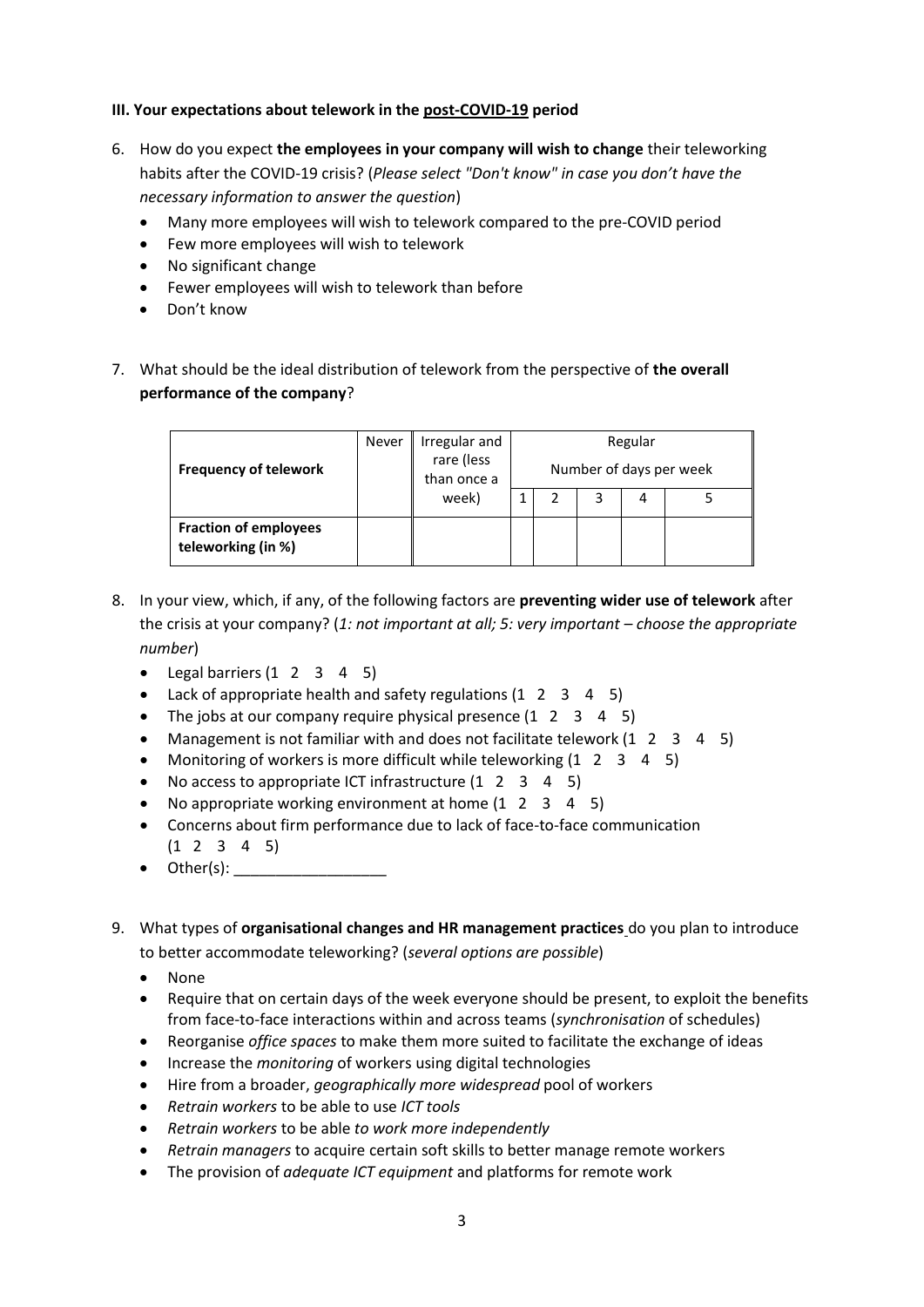## **III. Your expectations about telework in the post-COVID-19 period**

- 6. How do you expect **the employees in your company will wish to change** their teleworking habits after the COVID-19 crisis? (*Please select "Don't know" in case you don't have the necessary information to answer the question*)
	- Many more employees will wish to telework compared to the pre-COVID period
	- Few more employees will wish to telework
	- No significant change
	- Fewer employees will wish to telework than before
	- Don't know
- 7. What should be the ideal distribution of telework from the perspective of **the overall performance of the company**?

| <b>Frequency of telework</b>                       | Never | Irregular and<br>rare (less<br>than once a | Regular<br>Number of days per week |  |  |   |  |  |
|----------------------------------------------------|-------|--------------------------------------------|------------------------------------|--|--|---|--|--|
|                                                    |       | week)                                      |                                    |  |  | 4 |  |  |
| <b>Fraction of employees</b><br>teleworking (in %) |       |                                            |                                    |  |  |   |  |  |

- 8. In your view, which, if any, of the following factors are **preventing wider use of telework** after the crisis at your company? (*1: not important at all; 5: very important – choose the appropriate number*)
	- $\bullet$  Legal barriers (1 2 3 4 5)
	- Lack of appropriate health and safety regulations (1 2 3 4 5)
	- The jobs at our company require physical presence (1 2 3 4 5)
	- Management is not familiar with and does not facilitate telework (1 2 3 4 5)
	- Monitoring of workers is more difficult while teleworking  $(1 \t2 \t3 \t4 \t5)$
	- No access to appropriate ICT infrastructure (1 2 3 4 5)
	- No appropriate working environment at home  $(1 \t2 \t3 \t4 \t5)$
	- Concerns about firm performance due to lack of face-to-face communication (1 2 3 4 5)
	- $\bullet$  Other(s):
- 9. What types of **organisational changes and HR management practices** do you plan to introduce to better accommodate teleworking? (*several options are possible*)
	- None
	- Require that on certain days of the week everyone should be present, to exploit the benefits from face-to-face interactions within and across teams (*synchronisation* of schedules)
	- Reorganise *office spaces* to make them more suited to facilitate the exchange of ideas
	- Increase the *monitoring* of workers using digital technologies
	- Hire from a broader, *geographically more widespread* pool of workers
	- *Retrain workers* to be able to use *ICT tools*
	- *Retrain workers* to be able *to work more independently*
	- *Retrain managers* to acquire certain soft skills to better manage remote workers
	- The provision of *adequate ICT equipment* and platforms for remote work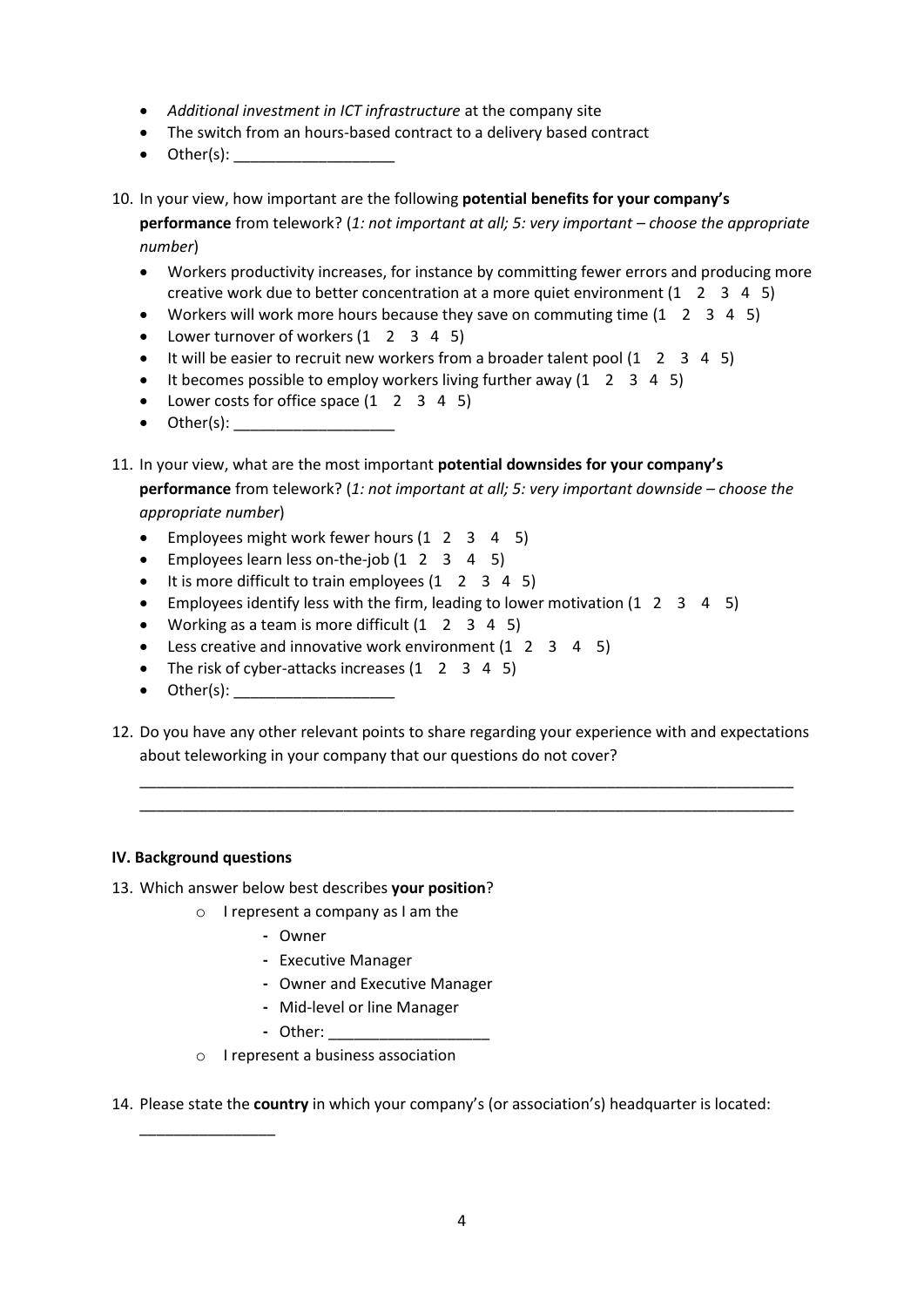- *Additional investment in ICT infrastructure* at the company site
- The switch from an hours-based contract to a delivery based contract
- $\bullet$  Other(s):
- 10. In your view, how important are the following **potential benefits for your company's performance** from telework? (*1: not important at all; 5: very important – choose the appropriate number*)
	- Workers productivity increases, for instance by committing fewer errors and producing more creative work due to better concentration at a more quiet environment  $(1 \quad 2 \quad 3 \quad 4 \quad 5)$
	- Workers will work more hours because they save on commuting time  $(1 \t2 \t3 \t4 \t5)$
	- Lower turnover of workers (1 2 3 4 5)
	- $\bullet$  It will be easier to recruit new workers from a broader talent pool (1 2 3 4 5)
	- $\bullet$  It becomes possible to employ workers living further away (1 2 3 4 5)
	- Lower costs for office space (1 2 3 4 5)
	- Other(s): \_\_\_\_\_\_\_\_\_\_\_\_\_\_\_\_\_\_\_
- 11. In your view, what are the most important **potential downsides for your company's performance** from telework? (*1: not important at all; 5: very important downside – choose the*

*appropriate number*)

- Employees might work fewer hours (1 2 3 4 5)
- Employees learn less on-the-job  $(1 \t2 \t3 \t4 \t5)$
- $\bullet$  It is more difficult to train employees  $(1 \quad 2 \quad 3 \quad 4 \quad 5)$
- Employees identify less with the firm, leading to lower motivation (1 2 3 4 5)
- Working as a team is more difficult  $(1 \t2 \t3 \t4 \t5)$
- Less creative and innovative work environment (1 2 3 4 5)
- The risk of cyber-attacks increases (1 2 3 4 5)
- $\bullet$  Other(s):
- 12. Do you have any other relevant points to share regarding your experience with and expectations about teleworking in your company that our questions do not cover?

\_\_\_\_\_\_\_\_\_\_\_\_\_\_\_\_\_\_\_\_\_\_\_\_\_\_\_\_\_\_\_\_\_\_\_\_\_\_\_\_\_\_\_\_\_\_\_\_\_\_\_\_\_\_\_\_\_\_\_\_\_\_\_\_\_\_\_\_\_\_\_\_\_\_\_\_\_ \_\_\_\_\_\_\_\_\_\_\_\_\_\_\_\_\_\_\_\_\_\_\_\_\_\_\_\_\_\_\_\_\_\_\_\_\_\_\_\_\_\_\_\_\_\_\_\_\_\_\_\_\_\_\_\_\_\_\_\_\_\_\_\_\_\_\_\_\_\_\_\_\_\_\_\_\_

#### **IV. Background questions**

\_\_\_\_\_\_\_\_\_\_\_\_\_\_\_\_

- 13. Which answer below best describes **your position**?
	- o I represent a company as I am the
		- **-** Owner
		- **-** Executive Manager
		- **-** Owner and Executive Manager
		- **-** Mid-level or line Manager
		- **-** Other: \_\_\_\_\_\_\_\_\_\_\_\_\_\_\_\_\_\_\_
	- o I represent a business association

14. Please state the **country** in which your company's (or association's) headquarter is located: